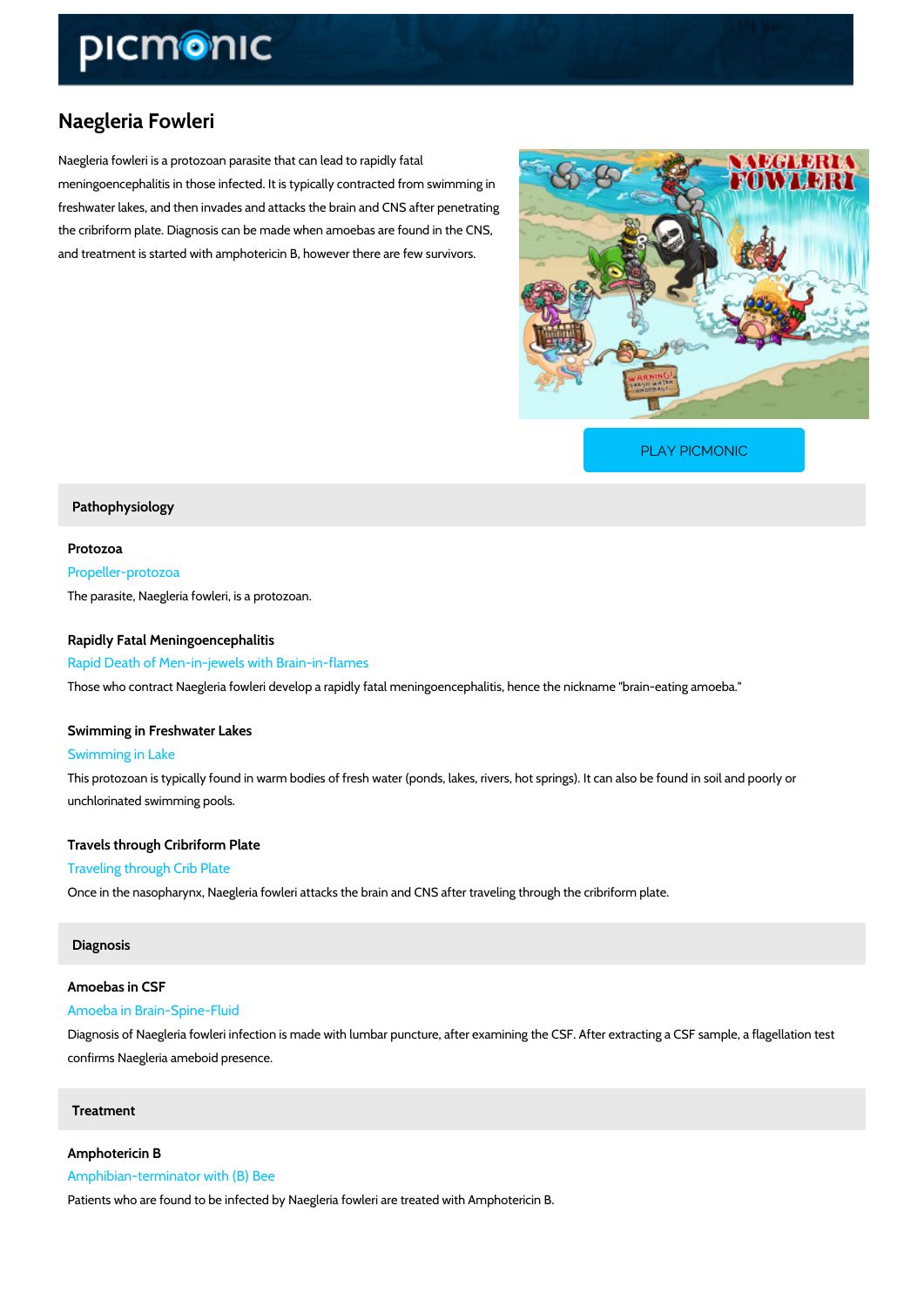## Naegleria Fowleri

Naegleria fowleri is a protozoan parasite that can lead to rapidly fatal meningoencephalitis in those infected. It is typically contracted from swimming in freshwater lakes, and then invades and attacks the brain and CNS after penetrating the cribriform plate. Diagnosis can be made when amoebas are found in the CNS, and treatment is started with amphotericin B, however there are few survivors.

[PLAY PICMONIC](https://www.picmonic.com/learn/naegleria-fowleri_2666?utm_source=downloadable_content&utm_medium=distributedcontent&utm_campaign=pathways_pdf&utm_content=Naegleria Fowleri&utm_ad_group=leads&utm_market=all)

Pathophysiology

Protozoa Propeller-protozoa The parasite, Naegleria fowleri, is a protozoan.

## Rapidly Fatal Meningoencephalitis

Rapid Death of Men-in-jewels with Brain-in-flames

Those who contract Naegleria fowleri develop a rapidly fatal meningoencephalitis, hence the r

Swimming in Freshwater Lakes Swimming in Lake

This protozoan is typically found in warm bodies of fresh water (ponds, lakes, rivers, hot spri unchlorinated swimming pools.

Travels through Cribriform Plate Traveling through Crib Plate Once in the nasopharynx, Naegleria fowleri attacks the brain and CNS after traveling through

## Diagnosis

Amoebas in CSF Amoeba in Brain-Spine-Fluid

Diagnosis of Naegleria fowleri infection is made with lumbar puncture, after examining the CS confirms Naegleria ameboid presence.

Treatment

Amphotericin B Amphibian-terminator with (B) Bee

Patients who are found to be infected by Naegleria fowleri are treated with Amphotericin B.